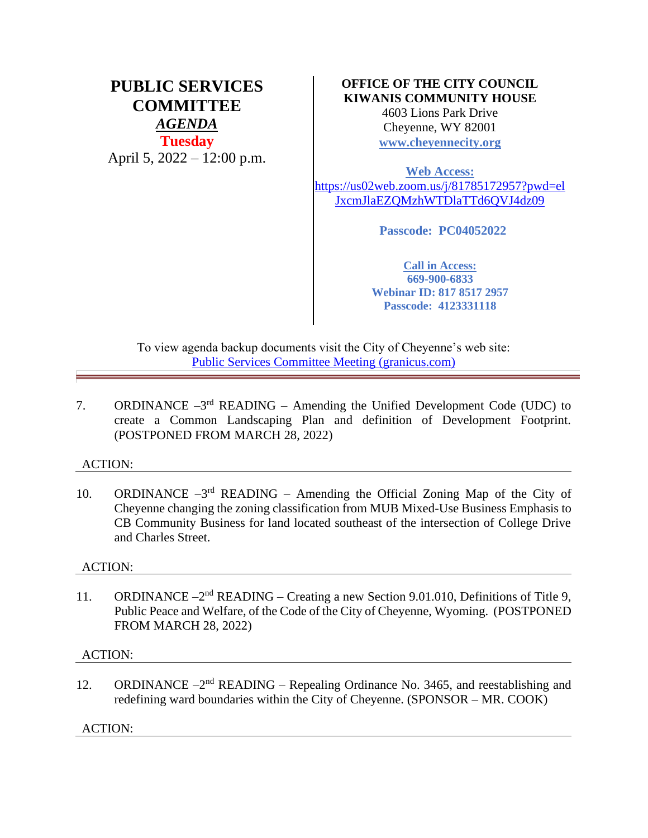# **PUBLIC SERVICES COMMITTEE** *AGENDA* **Tuesday** April 5, 2022 – 12:00 p.m.

# **OFFICE OF THE CITY COUNCIL KIWANIS COMMUNITY HOUSE**

4603 Lions Park Drive Cheyenne, WY 82001 **[www.cheyennecity.org](http://www.cheyennecity.org/)**

**Web Access:**  [https://us02web.zoom.us/j/81785172957?pwd=el](https://us02web.zoom.us/j/81785172957?pwd=elJxcmJlaEZQMzhWTDlaTTd6QVJ4dz09) [JxcmJlaEZQMzhWTDlaTTd6QVJ4dz09](https://us02web.zoom.us/j/81785172957?pwd=elJxcmJlaEZQMzhWTDlaTTd6QVJ4dz09)

**Passcode: PC04052022**

**Call in Access: 669-900-6833 Webinar ID: 817 8517 2957 Passcode: 4123331118**

To view agenda backup documents visit the City of Cheyenne's web site: [Public Services Committee Meeting](https://cheyenne.granicus.com/GeneratedAgendaViewer.php?event_id=1062) (granicus.com)

7. ORDINANCE  $-3<sup>rd</sup>$  READING – Amending the Unified Development Code (UDC) to create a Common Landscaping Plan and definition of Development Footprint. (POSTPONED FROM MARCH 28, 2022)

## ACTION:

10. ORDINANCE  $-3^{rd}$  READING – Amending the Official Zoning Map of the City of Cheyenne changing the zoning classification from MUB Mixed-Use Business Emphasis to CB Community Business for land located southeast of the intersection of College Drive and Charles Street.

## ACTION:

11. ORDINANCE -2<sup>nd</sup> READING - Creating a new Section 9.01.010, Definitions of Title 9, Public Peace and Welfare, of the Code of the City of Cheyenne, Wyoming. (POSTPONED FROM MARCH 28, 2022)

## ACTION:

12. ORDINANCE -2<sup>nd</sup> READING - Repealing Ordinance No. 3465, and reestablishing and redefining ward boundaries within the City of Cheyenne. (SPONSOR – MR. COOK)

ACTION: